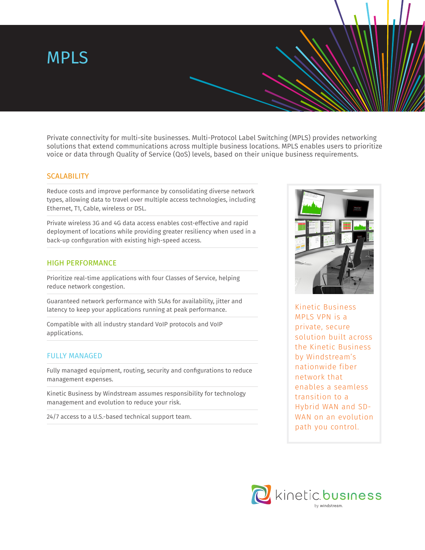# MPLS

Private connectivity for multi-site businesses. Multi-Protocol Label Switching (MPLS) provides networking solutions that extend communications across multiple business locations. MPLS enables users to prioritize voice or data through Quality of Service (QoS) levels, based on their unique business requirements.

# **SCALABILITY**

Reduce costs and improve performance by consolidating diverse network types, allowing data to travel over multiple access technologies, including Ethernet, T1, Cable, wireless or DSL.

Private wireless 3G and 4G data access enables cost-effective and rapid deployment of locations while providing greater resiliency when used in a back-up configuration with existing high-speed access.

# HIGH PERFORMANCE

Prioritize real-time applications with four Classes of Service, helping reduce network congestion.

Guaranteed network performance with SLAs for availability, jitter and latency to keep your applications running at peak performance.

Compatible with all industry standard VoIP protocols and VoIP applications.

### FULLY MANAGED

Fully managed equipment, routing, security and configurations to reduce management expenses.

Kinetic Business by Windstream assumes responsibility for technology management and evolution to reduce your risk.

24/7 access to a U.S.-based technical support team.



Kinetic Business MPLS VPN is a private, secure solution built across the Kinetic Business by Windstream's nationwide fiber network that enables a seamless transition to a Hybrid WAN and SD-WAN on an evolution path you control.